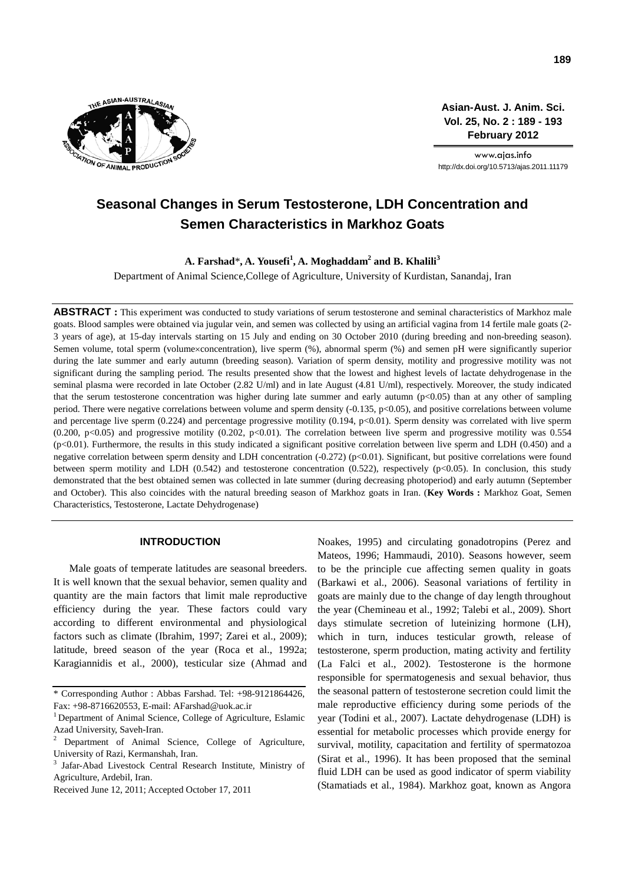

**Asian-Aust. J. Anim. Sci. Vol. 25, No. 2 : 189 - 193 February 2012**

www.ajas.info http://dx.doi.org/10.5713/ajas.2011.11179

# **Seasonal Changes in Serum Testosterone, LDH Concentration and Semen Characteristics in Markhoz Goats**

**A. Farshad**\***, A. Yousefi<sup>1</sup> , A. Moghaddam2 and B. Khalili<sup>3</sup>**

Department of Animal Science,College of Agriculture, University of Kurdistan, Sanandaj, Iran

**ABSTRACT :** This experiment was conducted to study variations of serum testosterone and seminal characteristics of Markhoz male goats. Blood samples were obtained via jugular vein, and semen was collected by using an artificial vagina from 14 fertile male goats (2- 3 years of age), at 15-day intervals starting on 15 July and ending on 30 October 2010 (during breeding and non-breeding season). Semen volume, total sperm (volume×concentration), live sperm (%), abnormal sperm (%) and semen pH were significantly superior during the late summer and early autumn (breeding season). Variation of sperm density, motility and progressive motility was not significant during the sampling period. The results presented show that the lowest and highest levels of lactate dehydrogenase in the seminal plasma were recorded in late October (2.82 U/ml) and in late August (4.81 U/ml), respectively. Moreover, the study indicated that the serum testosterone concentration was higher during late summer and early autumn  $(p<0.05)$  than at any other of sampling period. There were negative correlations between volume and sperm density (-0.135, p<0.05), and positive correlations between volume and percentage live sperm (0.224) and percentage progressive motility (0.194,  $p<0.01$ ). Sperm density was correlated with live sperm (0.200, p<0.05) and progressive motility (0.202, p<0.01). The correlation between live sperm and progressive motility was 0.554  $(p<0.01)$ . Furthermore, the results in this study indicated a significant positive correlation between live sperm and LDH (0.450) and a negative correlation between sperm density and LDH concentration (-0.272) (p<0.01). Significant, but positive correlations were found between sperm motility and LDH (0.542) and testosterone concentration (0.522), respectively (p<0.05). In conclusion, this study demonstrated that the best obtained semen was collected in late summer (during decreasing photoperiod) and early autumn (September and October). This also coincides with the natural breeding season of Markhoz goats in Iran. (**Key Words :** Markhoz Goat, Semen Characteristics, Testosterone, Lactate Dehydrogenase)

### **INTRODUCTION**

Male goats of temperate latitudes are seasonal breeders. It is well known that the sexual behavior, semen quality and quantity are the main factors that limit male reproductive efficiency during the year. These factors could vary according to different environmental and physiological factors such as climate (Ibrahim, 1997; Zarei et al., 2009); latitude, breed season of the year (Roca et al., 1992a; Karagiannidis et al., 2000), testicular size (Ahmad and Noakes, 1995) and circulating gonadotropins (Perez and Mateos, 1996; Hammaudi, 2010). Seasons however, seem to be the principle cue affecting semen quality in goats (Barkawi et al., 2006). Seasonal variations of fertility in goats are mainly due to the change of day length throughout the year (Chemineau et al., 1992; Talebi et al., 2009). Short days stimulate secretion of luteinizing hormone (LH), which in turn, induces testicular growth, release of testosterone, sperm production, mating activity and fertility (La Falci et al., 2002). Testosterone is the hormone responsible for spermatogenesis and sexual behavior, thus the seasonal pattern of testosterone secretion could limit the male reproductive efficiency during some periods of the year (Todini et al., 2007). Lactate dehydrogenase (LDH) is essential for metabolic processes which provide energy for survival, motility, capacitation and fertility of spermatozoa (Sirat et al., 1996). It has been proposed that the seminal fluid LDH can be used as good indicator of sperm viability (Stamatiads et al., 1984). Markhoz goat, known as Angora

<sup>\*</sup> Corresponding Author : Abbas Farshad. Tel: +98-9121864426, Fax: +98-8716620553, E-mail: AFarshad@uok.ac.ir

<sup>&</sup>lt;sup>1</sup> Department of Animal Science, College of Agriculture, Eslamic Azad University, Saveh-Iran.

<sup>2</sup> Department of Animal Science, College of Agriculture, University of Razi, Kermanshah, Iran.

<sup>3</sup> Jafar-Abad Livestock Central Research Institute, Ministry of Agriculture, Ardebil, Iran.

Received June 12, 2011; Accepted October 17, 2011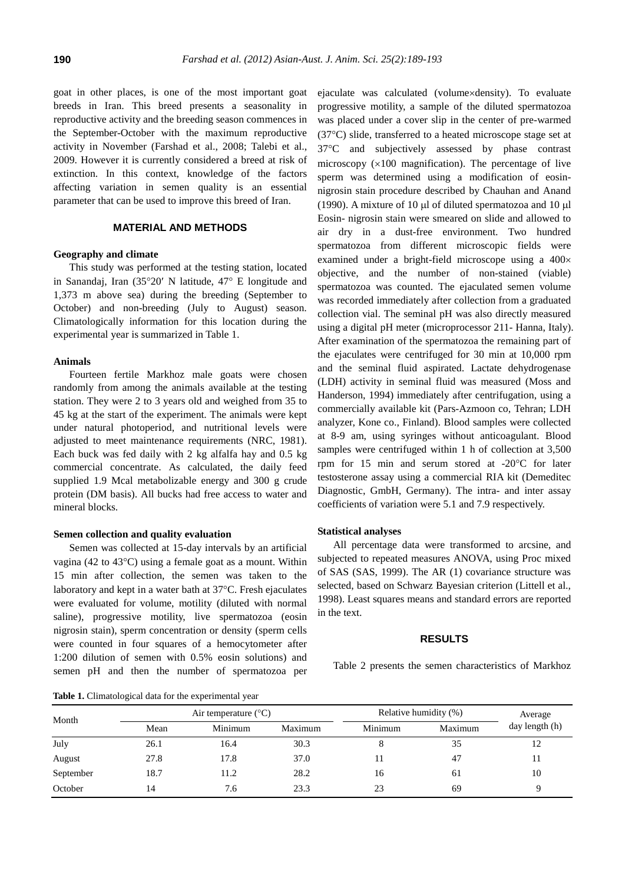goat in other places, is one of the most important goat breeds in Iran. This breed presents a seasonality in reproductive activity and the breeding season commences in the September-October with the maximum reproductive activity in November (Farshad et al., 2008; Talebi et al., 2009. However it is currently considered a breed at risk of extinction. In this context, knowledge of the factors affecting variation in semen quality is an essential parameter that can be used to improve this breed of Iran.

## **MATERIAL AND METHODS**

#### **Geography and climate**

This study was performed at the testing station, located in Sanandaj, Iran (35°20′ N latitude, 47° E longitude and 1,373 m above sea) during the breeding (September to October) and non-breeding (July to August) season. Climatologically information for this location during the experimental year is summarized in Table 1.

#### **Animals**

Fourteen fertile Markhoz male goats were chosen randomly from among the animals available at the testing station. They were 2 to 3 years old and weighed from 35 to 45 kg at the start of the experiment. The animals were kept under natural photoperiod, and nutritional levels were adjusted to meet maintenance requirements (NRC, 1981). Each buck was fed daily with 2 kg alfalfa hay and 0.5 kg commercial concentrate. As calculated, the daily feed supplied 1.9 Mcal metabolizable energy and 300 g crude protein (DM basis). All bucks had free access to water and mineral blocks.

## **Semen collection and quality evaluation**

Semen was collected at 15-day intervals by an artificial vagina (42 to 43°C) using a female goat as a mount. Within 15 min after collection, the semen was taken to the laboratory and kept in a water bath at 37°C. Fresh ejaculates were evaluated for volume, motility (diluted with normal saline), progressive motility, live spermatozoa (eosin nigrosin stain), sperm concentration or density (sperm cells were counted in four squares of a hemocytometer after 1:200 dilution of semen with 0.5% eosin solutions) and semen pH and then the number of spermatozoa per ejaculate was calculated (volume×density). To evaluate progressive motility, a sample of the diluted spermatozoa was placed under a cover slip in the center of pre-warmed (37°C) slide, transferred to a heated microscope stage set at 37°C and subjectively assessed by phase contrast microscopy  $(x100)$  magnification). The percentage of live sperm was determined using a modification of eosinnigrosin stain procedure described by Chauhan and Anand (1990). A mixture of 10 µl of diluted spermatozoa and 10 µl Eosin- nigrosin stain were smeared on slide and allowed to air dry in a dust-free environment. Two hundred spermatozoa from different microscopic fields were examined under a bright-field microscope using a 400× objective, and the number of non-stained (viable) spermatozoa was counted. The ejaculated semen volume was recorded immediately after collection from a graduated collection vial. The seminal pH was also directly measured using a digital pH meter (microprocessor 211- Hanna, Italy). After examination of the spermatozoa the remaining part of the ejaculates were centrifuged for 30 min at 10,000 rpm and the seminal fluid aspirated. Lactate dehydrogenase (LDH) activity in seminal fluid was measured (Moss and Handerson, 1994) immediately after centrifugation, using a commercially available kit (Pars-Azmoon co, Tehran; LDH analyzer, Kone co., Finland). Blood samples were collected at 8-9 am, using syringes without anticoagulant. Blood samples were centrifuged within 1 h of collection at 3,500 rpm for 15 min and serum stored at -20°C for later testosterone assay using a commercial RIA kit (Demeditec Diagnostic, GmbH, Germany). The intra- and inter assay coefficients of variation were 5.1 and 7.9 respectively.

## **Statistical analyses**

All percentage data were transformed to arcsine, and subjected to repeated measures ANOVA, using Proc mixed of SAS (SAS, 1999). The AR (1) covariance structure was selected, based on Schwarz Bayesian criterion (Littell et al., 1998). Least squares means and standard errors are reported in the text.

#### **RESULTS**

Table 2 presents the semen characteristics of Markhoz

**Table 1.** Climatological data for the experimental year

|           |      | Air temperature $(^{\circ}C)$ |         | Relative humidity (%) | Average |                |
|-----------|------|-------------------------------|---------|-----------------------|---------|----------------|
| Month     | Mean | Minimum                       | Maximum | Minimum               | Maximum | day length (h) |
| July      | 26.1 | 16.4                          | 30.3    |                       | 35      | 12             |
| August    | 27.8 | 17.8                          | 37.0    |                       | 47      | 11             |
| September | 18.7 | 11.2                          | 28.2    | 16                    | 61      | 10             |
| October   | 14   | 7.6                           | 23.3    | 23                    | 69      | Q              |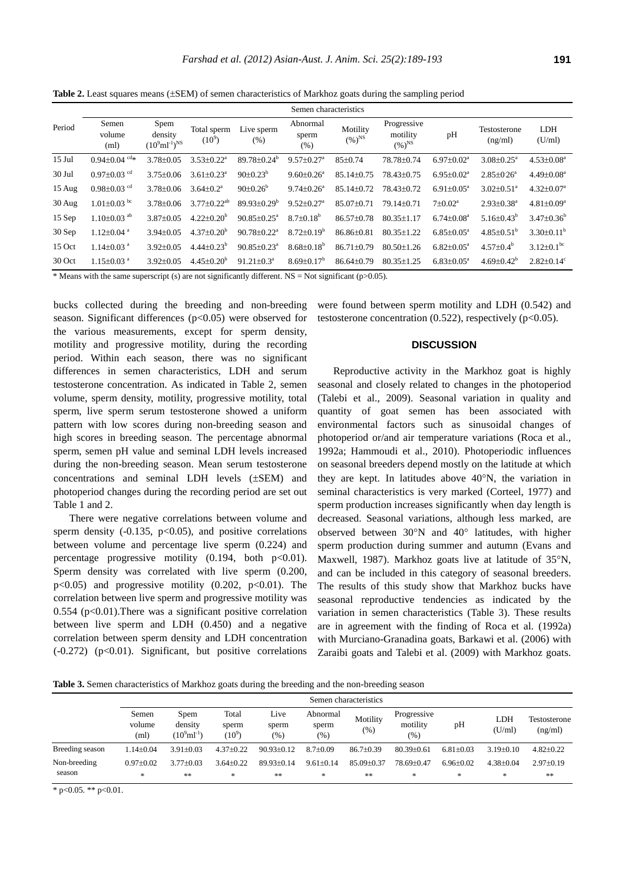**Table 2.** Least squares means (±SEM) of semen characteristics of Markhoz goats during the sampling period

|          | Semen characteristics          |                                                        |                              |                               |                              |                         |                                        |                            |                              |                              |
|----------|--------------------------------|--------------------------------------------------------|------------------------------|-------------------------------|------------------------------|-------------------------|----------------------------------------|----------------------------|------------------------------|------------------------------|
| Period   | Semen<br>volume<br>(ml)        | Spem<br>density<br>$(10^9 \text{ml}^{-1})^{\text{NS}}$ | Total sperm<br>$(10^9)$      | Live sperm<br>(% )            | Abnormal<br>sperm<br>(% )    | Motility<br>$(\%)^{NS}$ | Progressive<br>motility<br>$(\%)^{NS}$ | pH                         | Testosterone<br>(ng/ml)      | <b>LDH</b><br>(U/ml)         |
| $15$ Jul | $0.94 \pm 0.04$ <sup>cd*</sup> | $3.78 + 0.05$                                          | $3.53 + 0.22^a$              | $89.78 \pm 0.24^b$            | $9.57 \pm 0.27$ <sup>a</sup> | $85 \pm 0.74$           | 78.78±0.74                             | $6.97+0.02a$               | $3.08 + 0.25^a$              | $4.53 \pm 0.08^a$            |
| $30$ Jul | $0.97 \pm 0.03$ <sup>cd</sup>  | $3.75 \pm 0.06$                                        | $3.61 \pm 0.23$ <sup>a</sup> | $90 \pm 0.23^b$               | $9.60 \pm 0.26^a$            | $85.14 \pm 0.75$        | 78.43±0.75                             | $6.95 \pm 0.02^a$          | $2.85 \pm 0.26$ <sup>a</sup> | $4.49 \pm 0.08$ <sup>a</sup> |
| 15 Aug   | $0.98 \pm 0.03$ <sup>cd</sup>  | $3.78 \pm 0.06$                                        | $3.64 \pm 0.2^a$             | $90 \pm 0.26^b$               | $9.74 \pm 0.26^a$            | 85.14±0.72              | 78.43±0.72                             | $6.91 \pm 0.05^{\text{a}}$ | $3.02 \pm 0.51$ <sup>a</sup> | $4.32 \pm 0.07^a$            |
| $30$ Aug | $1.01 \pm 0.03$ bc             | $3.78 + 0.06$                                          | $3.77+0.22^{ab}$             | $89.93 + 0.29^b$              | $9.52 \pm 0.27$ <sup>a</sup> | $85.07+0.71$            | 79.14+0.71                             | $7 \pm 0.02^{\text{a}}$    | $2.93 \pm 0.38$ <sup>a</sup> | $4.81 \pm 0.09^a$            |
| 15 Sep   | $1.10 \pm 0.03$ <sup>ab</sup>  | $3.87+0.05$                                            | $4.22 \pm 0.20^b$            | $90.85 \pm 0.25^{\circ}$      | $8.7 + 0.18^{b}$             | $86.57+0.78$            | $80.35 + 1.17$                         | $6.74 \pm 0.08^{\text{a}}$ | $5.16 \pm 0.43^b$            | $3.47\pm0.36^b$              |
| 30 Sep   | $1.12 \pm 0.04$ <sup>a</sup>   | $3.94 \pm 0.05$                                        | $4.37+0.20b$                 | $90.78 \pm 0.22$ <sup>a</sup> | $8.72 \pm 0.19^b$            | $86.86 \pm 0.81$        | $80.35 \pm 1.22$                       | $6.85 \pm 0.05^{\text{a}}$ | $4.85 \pm 0.51^{\circ}$      | $3.30\pm0.11^{\rm b}$        |
| 15 Oct   | $1.14 \pm 0.03$ <sup>a</sup>   | $3.92 \pm 0.05$                                        | $4.44\pm0.23^b$              | $90.85 \pm 0.23$ <sup>a</sup> | $8.68 \pm 0.18^b$            | $86.71 \pm 0.79$        | $80.50 + 1.26$                         | $6.82 \pm 0.05^{\text{a}}$ | $4.57 \pm 0.4^b$             | $3.12 \pm 0.1^{bc}$          |
| 30 Oct   | $1.15 \pm 0.03$ <sup>a</sup>   | $3.92 \pm 0.05$                                        | $4.45 \pm 0.20^b$            | $91.21 \pm 0.3^a$             | $8.69 \pm 0.17^b$            | $86.64 \pm 0.79$        | $80.35 \pm 1.25$                       | $6.83 \pm 0.05^{\text{a}}$ | $4.69 \pm 0.42^b$            | $2.82 \pm 0.14$ <sup>c</sup> |

\* Means with the same superscript (s) are not significantly different. NS = Not significant (p $>0.05$ ).

bucks collected during the breeding and non-breeding season. Significant differences (p<0.05) were observed for the various measurements, except for sperm density, motility and progressive motility, during the recording period. Within each season, there was no significant differences in semen characteristics, LDH and serum testosterone concentration. As indicated in Table 2, semen volume, sperm density, motility, progressive motility, total sperm, live sperm serum testosterone showed a uniform pattern with low scores during non-breeding season and high scores in breeding season. The percentage abnormal sperm, semen pH value and seminal LDH levels increased during the non-breeding season. Mean serum testosterone concentrations and seminal LDH levels (±SEM) and photoperiod changes during the recording period are set out Table 1 and 2.

There were negative correlations between volume and sperm density  $(-0.135, p<0.05)$ , and positive correlations between volume and percentage live sperm (0.224) and percentage progressive motility  $(0.194, \text{ both } p<0.01)$ . Sperm density was correlated with live sperm (0.200,  $p<0.05$ ) and progressive motility (0.202,  $p<0.01$ ). The correlation between live sperm and progressive motility was  $0.554$  (p<0.01). There was a significant positive correlation between live sperm and LDH (0.450) and a negative correlation between sperm density and LDH concentration  $(-0.272)$  (p<0.01). Significant, but positive correlations were found between sperm motility and LDH (0.542) and testosterone concentration  $(0.522)$ , respectively  $(p<0.05)$ .

## **DISCUSSION**

Reproductive activity in the Markhoz goat is highly seasonal and closely related to changes in the photoperiod (Talebi et al., 2009). Seasonal variation in quality and quantity of goat semen has been associated with environmental factors such as sinusoidal changes of photoperiod or/and air temperature variations (Roca et al., 1992a; Hammoudi et al., 2010). Photoperiodic influences on seasonal breeders depend mostly on the latitude at which they are kept. In latitudes above 40°N, the variation in seminal characteristics is very marked (Corteel, 1977) and sperm production increases significantly when day length is decreased. Seasonal variations, although less marked, are observed between 30°N and 40° latitudes, with higher sperm production during summer and autumn (Evans and Maxwell, 1987). Markhoz goats live at latitude of 35°N, and can be included in this category of seasonal breeders. The results of this study show that Markhoz bucks have seasonal reproductive tendencies as indicated by the variation in semen characteristics (Table 3). These results are in agreement with the finding of Roca et al. (1992a) with Murciano-Granadina goats, Barkawi et al. (2006) with Zaraibi goats and Talebi et al. (2009) with Markhoz goats.

**Table 3.** Semen characteristics of Markhoz goats during the breeding and the non-breeding season

|                        | Semen characteristics   |                                            |                            |                      |                          |                      |                                |                    |                    |                         |
|------------------------|-------------------------|--------------------------------------------|----------------------------|----------------------|--------------------------|----------------------|--------------------------------|--------------------|--------------------|-------------------------|
|                        | Semen<br>volume<br>(ml) | Spem<br>density<br>$(10^9 \text{ml}^{-1})$ | Total<br>sperm<br>$(10^9)$ | Live<br>sperm<br>(%) | Abnormal<br>sperm<br>(%) | Motility<br>(% )     | Progressive<br>motility<br>(%) | pH                 | LDH<br>(U/ml)      | Testosterone<br>(ng/ml) |
| Breeding season        | $1.14 + 0.04$           | $3.91 + 0.03$                              | $4.37 \pm 0.22$            | $90.93 + 0.12$       | $8.7+0.09$               | $86.7 \pm 0.39$      | $80.39 + 0.61$                 | $6.81 + 0.03$      | $3.19 \pm 0.10$    | $4.82 \pm 0.22$         |
| Non-breeding<br>season | $0.97+0.02$<br>*        | $3.77+0.03$<br>**                          | $3.64 \pm 0.22$<br>*       | $89.93+0.14$<br>**   | $9.61 + 0.14$<br>*       | $85.09 + 0.37$<br>** | 78.69+0.47<br>*                | $6.96 + 0.02$<br>* | $4.38 + 0.04$<br>* | $2.97+0.19$<br>**       |

\* p<0.05. \*\* p<0.01.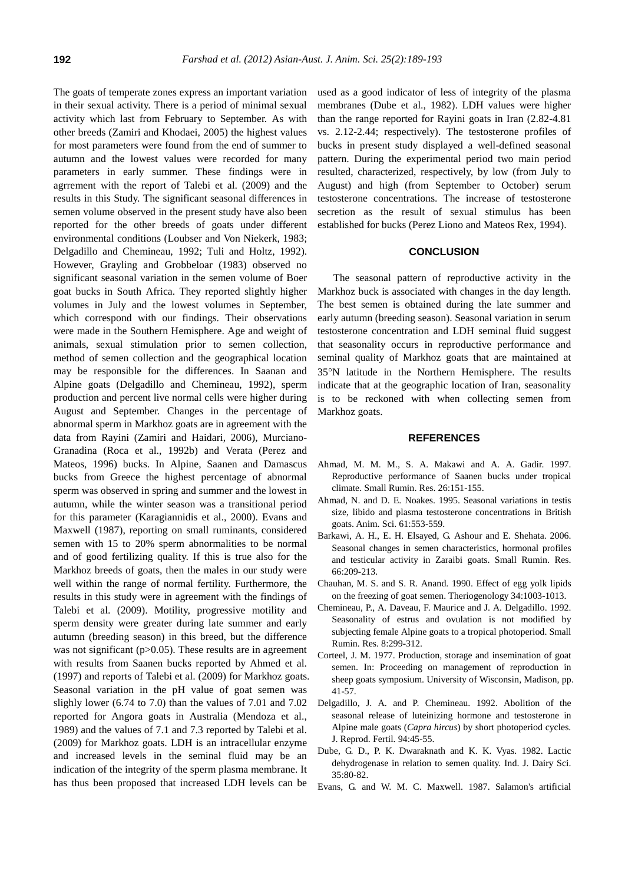The goats of temperate zones express an important variation in their sexual activity. There is a period of minimal sexual activity which last from February to September. As with other breeds (Zamiri and Khodaei, 2005) the highest values for most parameters were found from the end of summer to autumn and the lowest values were recorded for many parameters in early summer. These findings were in agrrement with the report of Talebi et al. (2009) and the results in this Study. The significant seasonal differences in semen volume observed in the present study have also been reported for the other breeds of goats under different environmental conditions (Loubser and Von Niekerk, 1983; Delgadillo and Chemineau, 1992; Tuli and Holtz, 1992). However, Grayling and Grobbeloar (1983) observed no significant seasonal variation in the semen volume of Boer goat bucks in South Africa. They reported slightly higher volumes in July and the lowest volumes in September, which correspond with our findings. Their observations were made in the Southern Hemisphere. Age and weight of animals, sexual stimulation prior to semen collection, method of semen collection and the geographical location may be responsible for the differences. In Saanan and Alpine goats (Delgadillo and Chemineau, 1992), sperm production and percent live normal cells were higher during August and September. Changes in the percentage of abnormal sperm in Markhoz goats are in agreement with the data from Rayini (Zamiri and Haidari, 2006), Murciano-Granadina (Roca et al., 1992b) and Verata (Perez and Mateos, 1996) bucks. In Alpine, Saanen and Damascus bucks from Greece the highest percentage of abnormal sperm was observed in spring and summer and the lowest in autumn, while the winter season was a transitional period for this parameter (Karagiannidis et al., 2000). Evans and Maxwell (1987), reporting on small ruminants, considered semen with 15 to 20% sperm abnormalities to be normal and of good fertilizing quality. If this is true also for the Markhoz breeds of goats, then the males in our study were well within the range of normal fertility. Furthermore, the results in this study were in agreement with the findings of Talebi et al. (2009). Motility, progressive motility and sperm density were greater during late summer and early autumn (breeding season) in this breed, but the difference was not significant (p>0.05). These results are in agreement with results from Saanen bucks reported by Ahmed et al. (1997) and reports of Talebi et al. (2009) for Markhoz goats. Seasonal variation in the pH value of goat semen was slighly lower (6.74 to 7.0) than the values of 7.01 and 7.02 reported for Angora goats in Australia (Mendoza et al., 1989) and the values of 7.1 and 7.3 reported by Talebi et al. (2009) for Markhoz goats. LDH is an intracellular enzyme and increased levels in the seminal fluid may be an indication of the integrity of the sperm plasma membrane. It has thus been proposed that increased LDH levels can be used as a good indicator of less of integrity of the plasma membranes (Dube et al., 1982). LDH values were higher than the range reported for Rayini goats in Iran (2.82-4.81 vs. 2.12-2.44; respectively). The testosterone profiles of bucks in present study displayed a well-defined seasonal pattern. During the experimental period two main period resulted, characterized, respectively, by low (from July to August) and high (from September to October) serum testosterone concentrations. The increase of testosterone secretion as the result of sexual stimulus has been established for bucks (Perez Liono and Mateos Rex, 1994).

## **CONCLUSION**

The seasonal pattern of reproductive activity in the Markhoz buck is associated with changes in the day length. The best semen is obtained during the late summer and early autumn (breeding season). Seasonal variation in serum testosterone concentration and LDH seminal fluid suggest that seasonality occurs in reproductive performance and seminal quality of Markhoz goats that are maintained at 35°N latitude in the Northern Hemisphere. The results indicate that at the geographic location of Iran, seasonality is to be reckoned with when collecting semen from Markhoz goats.

#### **REFERENCES**

- Ahmad, M. M. M., S. A. Makawi and A. A. Gadir. 1997. Reproductive performance of Saanen bucks under tropical climate. Small Rumin. Res. 26:151-155.
- Ahmad, N. and D. E. Noakes. 1995. Seasonal variations in testis size, libido and plasma testosterone concentrations in British goats. Anim. Sci. 61:553-559.
- Barkawi, A. H., E. H. Elsayed, G. Ashour and E. Shehata. 2006. Seasonal changes in semen characteristics, hormonal profiles and testicular activity in Zaraibi goats. Small Rumin. Res. 66:209-213.
- Chauhan, M. S. and S. R. Anand. 1990. Effect of egg yolk lipids on the freezing of goat semen. Theriogenology 34:1003-1013.
- Chemineau, P., A. Daveau, F. Maurice and J. A. Delgadillo. 1992. Seasonality of estrus and ovulation is not modified by subjecting female Alpine goats to a tropical photoperiod. Small Rumin. Res. 8:299-312.
- Corteel, J. M. 1977. Production, storage and insemination of goat semen. In: Proceeding on management of reproduction in sheep goats symposium. University of Wisconsin, Madison, pp. 41-57.
- Delgadillo, J. A. and P. Chemineau. 1992. Abolition of the seasonal release of luteinizing hormone and testosterone in Alpine male goats (*Capra hircus*) by short photoperiod cycles. J. Reprod. Fertil. 94:45-55.
- Dube, G. D., P. K. Dwaraknath and K. K. Vyas. 1982. Lactic dehydrogenase in relation to semen quality. Ind. J. Dairy Sci. 35:80-82.
- Evans, G. and W. M. C. Maxwell. 1987. Salamon's artificial